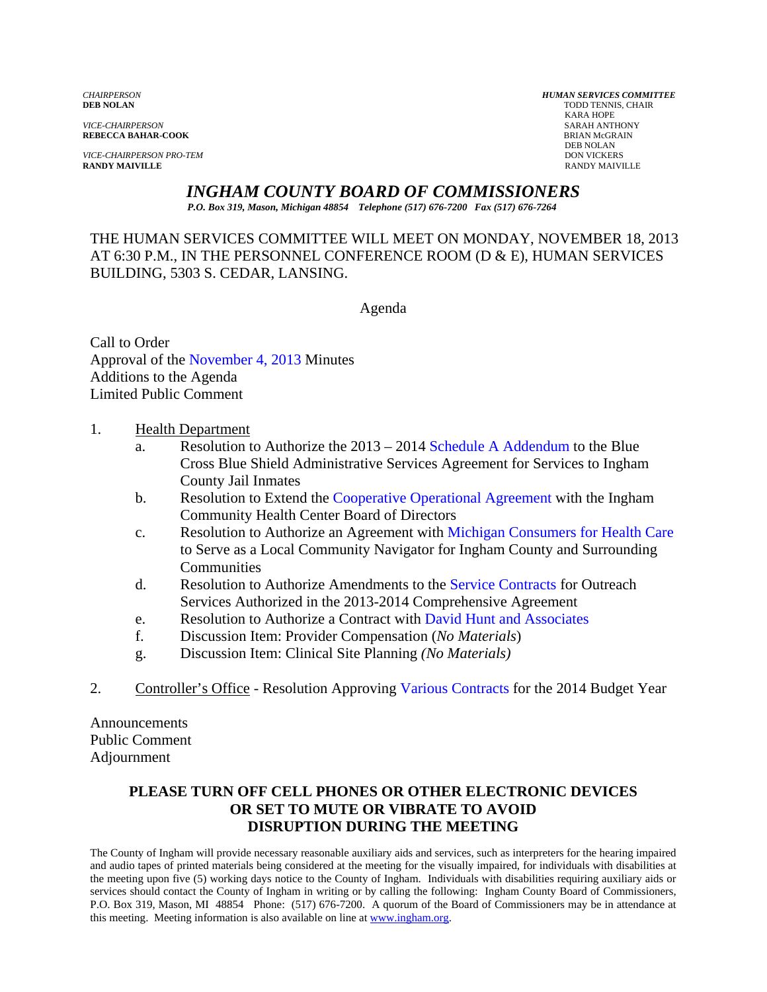*VICE-CHAIRPERSON* SARAH ANTHONY

*VICE-CHAIRPERSON PRO-TEM* DON VICKERS DON VICKERS **RANDY MAIVILLE RANDY MAIVILLE** RANDY MAIVILLE

*CHAIRPERSON HUMAN SERVICES COMMITTEE* TODD TENNIS, CHAIR<br>KARA HOPE KARA HOPE **REBECCA BAHAR-COOK**<br>BRIAN McGR<br>DEB NOLAN DEB NOLAN

*INGHAM COUNTY BOARD OF COMMISSIONERS* 

*P.O. Box 319, Mason, Michigan 48854 Telephone (517) 676-7200 Fax (517) 676-7264*

THE HUMAN SERVICES COMMITTEE WILL MEET ON MONDAY, NOVEMBER 18, 2013 AT 6:30 P.M., IN THE PERSONNEL CONFERENCE ROOM (D & E), HUMAN SERVICES BUILDING, 5303 S. CEDAR, LANSING.

Agenda

Call to Order Approval o[f the November 4, 2013 Minutes](#page-1-0)  Additions to the Agenda Limited Public Comment

- 1. Health Department
	- a. Resolution to Authorize the  $2013 2014$  [Schedule A Addendum to the Blue](#page-6-0) Cross Blue Shield Administrative Services Agreement for Services to Ingham County Jail Inmates
	- b. Resolution to Extend th[e Cooperative Operational Agreement with the In](#page-10-0)gham Community Health Center Board of Directors
	- c. Resolution to Authorize an Agreement with [Michigan Consumers for Health Care](#page-13-0)  to Serve as a Local Community Navigator for Ingham County and Surrounding **Communities**
	- d. Resolution to Authorize Amendments to t[he Service Contracts for Outrea](#page-15-0)ch Services Authorized in the 2013-2014 Comprehensive Agreement
	- e. Resolution to Authorize a Contract wi[th David Hunt and Associates](#page-17-0)
	- f. Discussion Item: Provider Compensation (*No Materials*)
	- g. Discussion Item: Clinical Site Planning *(No Materials)*
- 2. Controller's Office Resolution Approvi[ng Various Contracts for the 2014 B](#page-19-0)udget Year

Announcements Public Comment Adjournment

## **PLEASE TURN OFF CELL PHONES OR OTHER ELECTRONIC DEVICES OR SET TO MUTE OR VIBRATE TO AVOID DISRUPTION DURING THE MEETING**

The County of Ingham will provide necessary reasonable auxiliary aids and services, such as interpreters for the hearing impaired and audio tapes of printed materials being considered at the meeting for the visually impaired, for individuals with disabilities at the meeting upon five (5) working days notice to the County of Ingham. Individuals with disabilities requiring auxiliary aids or services should contact the County of Ingham in writing or by calling the following: Ingham County Board of Commissioners, P.O. Box 319, Mason, MI 48854 Phone: (517) 676-7200. A quorum of the Board of Commissioners may be in attendance at this meeting. Meeting information is also available on line at www.ingham.org.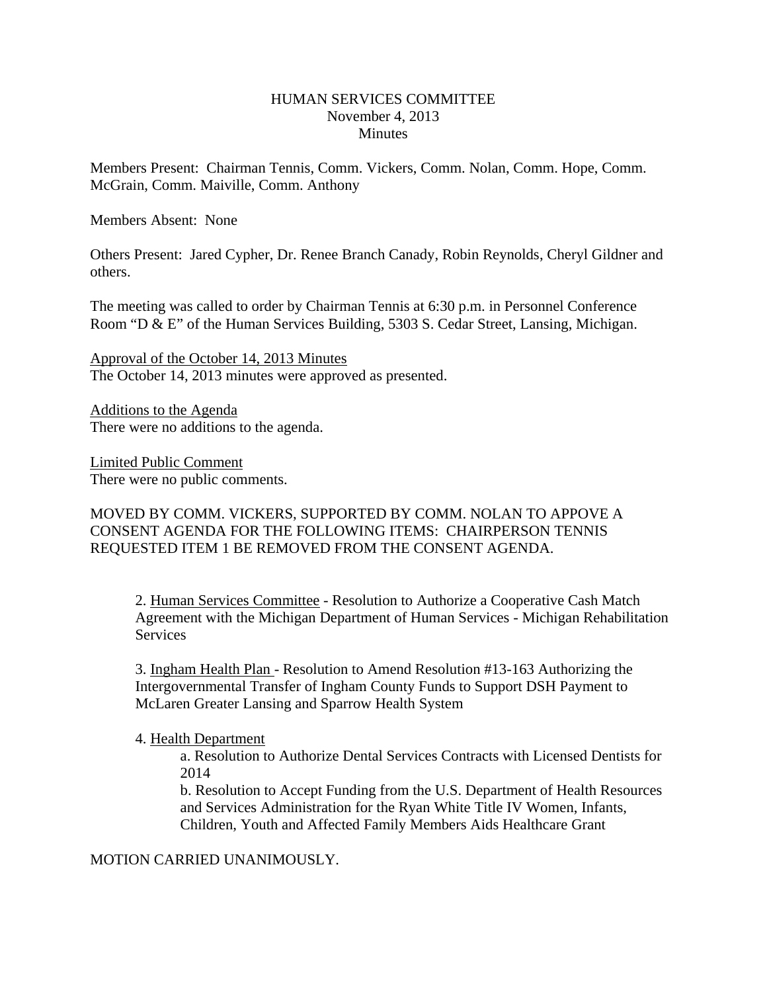#### HUMAN SERVICES COMMITTEE November 4, 2013 **Minutes**

<span id="page-1-0"></span>Members Present: Chairman Tennis, Comm. Vickers, Comm. Nolan, Comm. Hope, Comm. McGrain, Comm. Maiville, Comm. Anthony

Members Absent: None

Others Present: Jared Cypher, Dr. Renee Branch Canady, Robin Reynolds, Cheryl Gildner and others.

The meeting was called to order by Chairman Tennis at 6:30 p.m. in Personnel Conference Room "D & E" of the Human Services Building, 5303 S. Cedar Street, Lansing, Michigan.

Approval of the October 14, 2013 Minutes The October 14, 2013 minutes were approved as presented.

Additions to the Agenda There were no additions to the agenda.

Limited Public Comment There were no public comments.

MOVED BY COMM. VICKERS, SUPPORTED BY COMM. NOLAN TO APPOVE A CONSENT AGENDA FOR THE FOLLOWING ITEMS: CHAIRPERSON TENNIS REQUESTED ITEM 1 BE REMOVED FROM THE CONSENT AGENDA.

2. Human Services Committee - Resolution to Authorize a Cooperative Cash Match Agreement with the Michigan Department of Human Services - Michigan Rehabilitation Services

3. Ingham Health Plan - Resolution to Amend Resolution #13-163 Authorizing the Intergovernmental Transfer of Ingham County Funds to Support DSH Payment to McLaren Greater Lansing and Sparrow Health System

#### 4. Health Department

a. Resolution to Authorize Dental Services Contracts with Licensed Dentists for 2014

b. Resolution to Accept Funding from the U.S. Department of Health Resources and Services Administration for the Ryan White Title IV Women, Infants, Children, Youth and Affected Family Members Aids Healthcare Grant

MOTION CARRIED UNANIMOUSLY.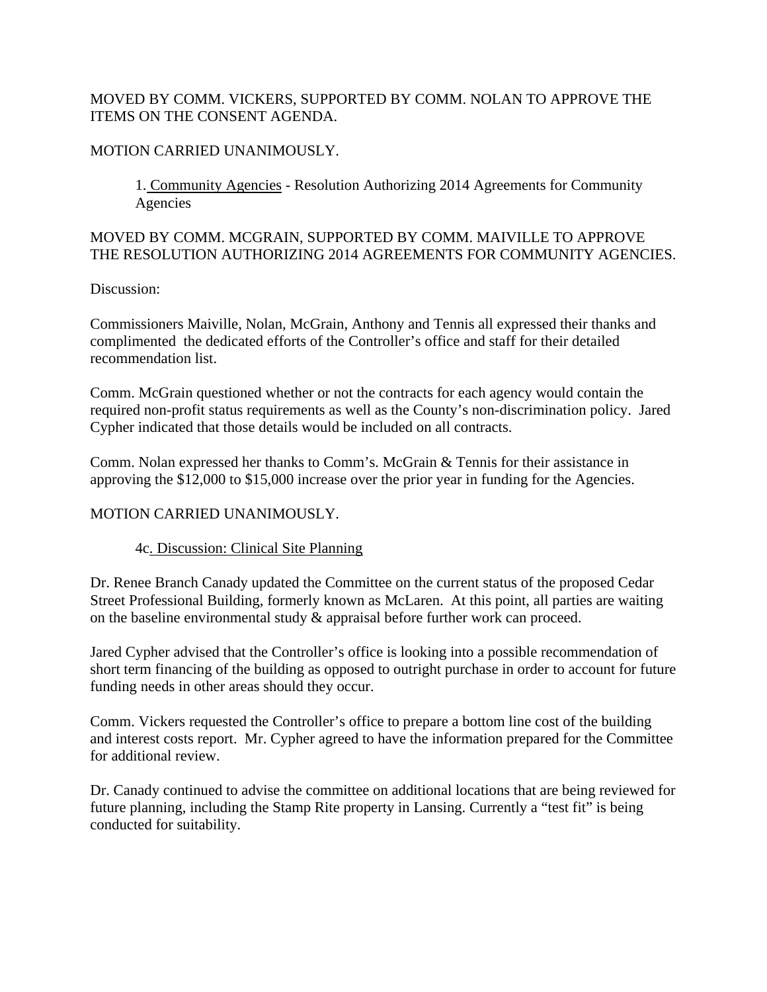### MOVED BY COMM. VICKERS, SUPPORTED BY COMM. NOLAN TO APPROVE THE ITEMS ON THE CONSENT AGENDA.

#### MOTION CARRIED UNANIMOUSLY.

1. Community Agencies - Resolution Authorizing 2014 Agreements for Community Agencies

#### MOVED BY COMM. MCGRAIN, SUPPORTED BY COMM. MAIVILLE TO APPROVE THE RESOLUTION AUTHORIZING 2014 AGREEMENTS FOR COMMUNITY AGENCIES.

#### Discussion:

Commissioners Maiville, Nolan, McGrain, Anthony and Tennis all expressed their thanks and complimented the dedicated efforts of the Controller's office and staff for their detailed recommendation list.

Comm. McGrain questioned whether or not the contracts for each agency would contain the required non-profit status requirements as well as the County's non-discrimination policy. Jared Cypher indicated that those details would be included on all contracts.

Comm. Nolan expressed her thanks to Comm's. McGrain & Tennis for their assistance in approving the \$12,000 to \$15,000 increase over the prior year in funding for the Agencies.

### MOTION CARRIED UNANIMOUSLY.

#### 4c. Discussion: Clinical Site Planning

Dr. Renee Branch Canady updated the Committee on the current status of the proposed Cedar Street Professional Building, formerly known as McLaren.At this point, all parties are waiting on the baseline environmental study & appraisal before further work can proceed.

Jared Cypher advised that the Controller's office is looking into a possible recommendation of short term financing of the building as opposed to outright purchase in order to account for future funding needs in other areas should they occur.

Comm. Vickers requested the Controller's office to prepare a bottom line cost of the building and interest costs report. Mr. Cypher agreed to have the information prepared for the Committee for additional review.

Dr. Canady continued to advise the committee on additional locations that are being reviewed for future planning, including the Stamp Rite property in Lansing. Currently a "test fit" is being conducted for suitability.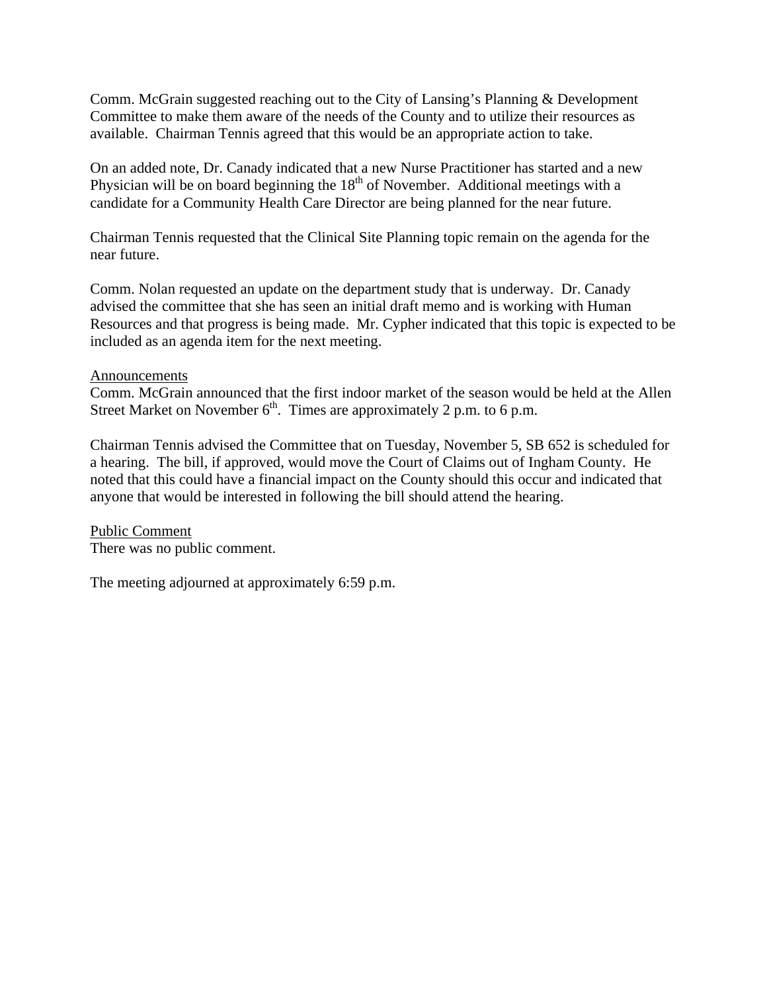Comm. McGrain suggested reaching out to the City of Lansing's Planning & Development Committee to make them aware of the needs of the County and to utilize their resources as available. Chairman Tennis agreed that this would be an appropriate action to take.

On an added note, Dr. Canady indicated that a new Nurse Practitioner has started and a new Physician will be on board beginning the 18<sup>th</sup> of November. Additional meetings with a candidate for a Community Health Care Director are being planned for the near future.

Chairman Tennis requested that the Clinical Site Planning topic remain on the agenda for the near future.

Comm. Nolan requested an update on the department study that is underway. Dr. Canady advised the committee that she has seen an initial draft memo and is working with Human Resources and that progress is being made. Mr. Cypher indicated that this topic is expected to be included as an agenda item for the next meeting.

#### Announcements

Comm. McGrain announced that the first indoor market of the season would be held at the Allen Street Market on November  $6<sup>th</sup>$ . Times are approximately 2 p.m. to 6 p.m.

Chairman Tennis advised the Committee that on Tuesday, November 5, SB 652 is scheduled for a hearing. The bill, if approved, would move the Court of Claims out of Ingham County. He noted that this could have a financial impact on the County should this occur and indicated that anyone that would be interested in following the bill should attend the hearing.

Public Comment There was no public comment.

The meeting adjourned at approximately 6:59 p.m.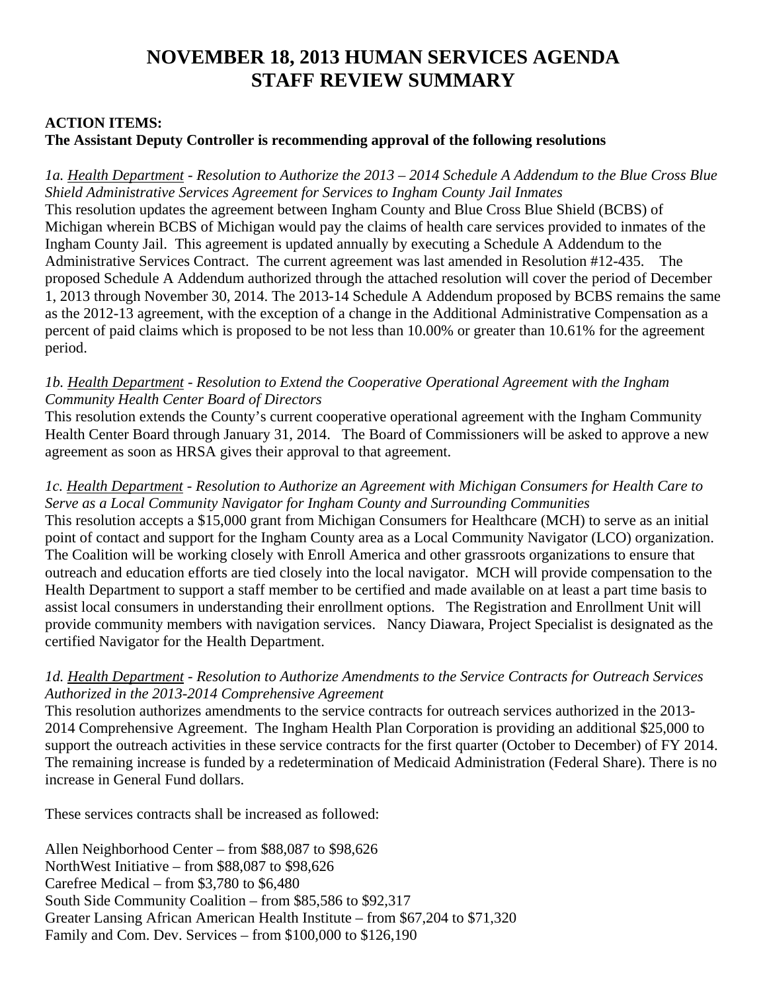# **NOVEMBER 18, 2013 HUMAN SERVICES AGENDA STAFF REVIEW SUMMARY**

## **ACTION ITEMS:**

## **The Assistant Deputy Controller is recommending approval of the following resolutions**

*1a. Health Department - Resolution to Authorize the 2013 – 2014 Schedule A Addendum to the Blue Cross Blue Shield Administrative Services Agreement for Services to Ingham County Jail Inmates*  This resolution updates the agreement between Ingham County and Blue Cross Blue Shield (BCBS) of Michigan wherein BCBS of Michigan would pay the claims of health care services provided to inmates of the Ingham County Jail. This agreement is updated annually by executing a Schedule A Addendum to the Administrative Services Contract. The current agreement was last amended in Resolution #12-435. The proposed Schedule A Addendum authorized through the attached resolution will cover the period of December 1, 2013 through November 30, 2014. The 2013-14 Schedule A Addendum proposed by BCBS remains the same as the 2012-13 agreement, with the exception of a change in the Additional Administrative Compensation as a percent of paid claims which is proposed to be not less than 10.00% or greater than 10.61% for the agreement period.

### *1b. Health Department - Resolution to Extend the Cooperative Operational Agreement with the Ingham Community Health Center Board of Directors*

This resolution extends the County's current cooperative operational agreement with the Ingham Community Health Center Board through January 31, 2014. The Board of Commissioners will be asked to approve a new agreement as soon as HRSA gives their approval to that agreement.

#### *1c. Health Department - Resolution to Authorize an Agreement with Michigan Consumers for Health Care to Serve as a Local Community Navigator for Ingham County and Surrounding Communities*

This resolution accepts a \$15,000 grant from Michigan Consumers for Healthcare (MCH) to serve as an initial point of contact and support for the Ingham County area as a Local Community Navigator (LCO) organization. The Coalition will be working closely with Enroll America and other grassroots organizations to ensure that outreach and education efforts are tied closely into the local navigator. MCH will provide compensation to the Health Department to support a staff member to be certified and made available on at least a part time basis to assist local consumers in understanding their enrollment options. The Registration and Enrollment Unit will provide community members with navigation services. Nancy Diawara, Project Specialist is designated as the certified Navigator for the Health Department.

## *1d. Health Department - Resolution to Authorize Amendments to the Service Contracts for Outreach Services Authorized in the 2013-2014 Comprehensive Agreement*

This resolution authorizes amendments to the service contracts for outreach services authorized in the 2013- 2014 Comprehensive Agreement. The Ingham Health Plan Corporation is providing an additional \$25,000 to support the outreach activities in these service contracts for the first quarter (October to December) of FY 2014. The remaining increase is funded by a redetermination of Medicaid Administration (Federal Share). There is no increase in General Fund dollars.

These services contracts shall be increased as followed:

Allen Neighborhood Center – from \$88,087 to \$98,626 NorthWest Initiative – from \$88,087 to \$98,626 Carefree Medical – from \$3,780 to \$6,480 South Side Community Coalition – from \$85,586 to \$92,317 Greater Lansing African American Health Institute – from \$67,204 to \$71,320 Family and Com. Dev. Services – from \$100,000 to \$126,190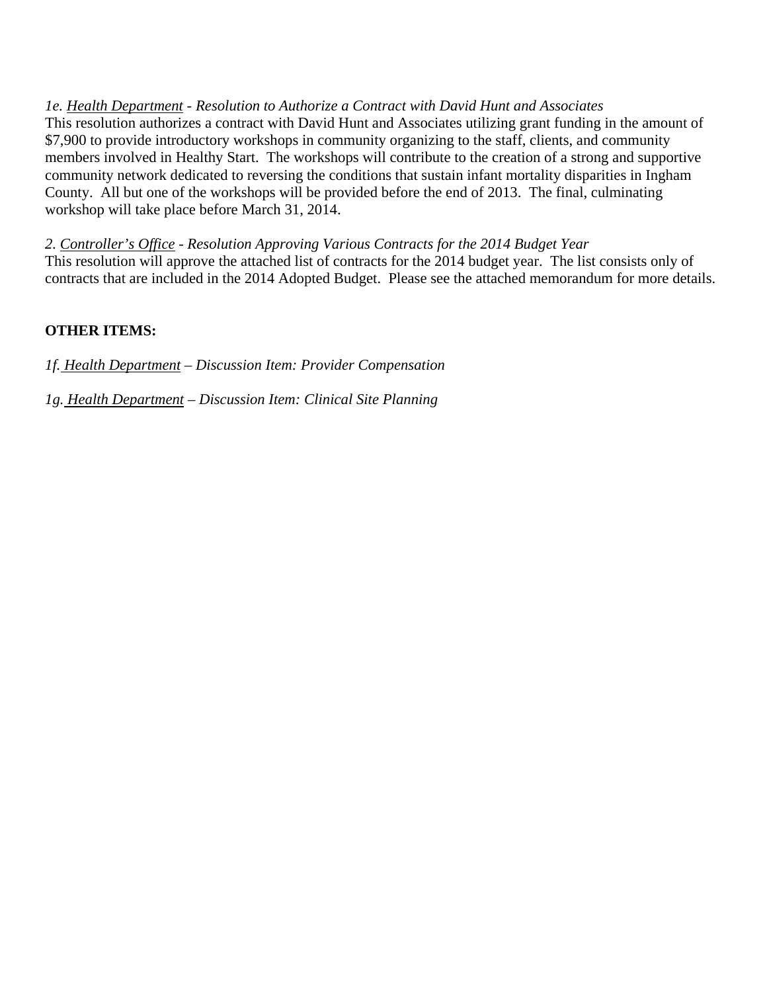*1e. Health Department - Resolution to Authorize a Contract with David Hunt and Associates* This resolution authorizes a contract with David Hunt and Associates utilizing grant funding in the amount of \$7,900 to provide introductory workshops in community organizing to the staff, clients, and community members involved in Healthy Start. The workshops will contribute to the creation of a strong and supportive community network dedicated to reversing the conditions that sustain infant mortality disparities in Ingham County. All but one of the workshops will be provided before the end of 2013. The final, culminating workshop will take place before March 31, 2014.

*2. Controller's Office - Resolution Approving Various Contracts for the 2014 Budget Year*  This resolution will approve the attached list of contracts for the 2014 budget year. The list consists only of contracts that are included in the 2014 Adopted Budget. Please see the attached memorandum for more details.

## **OTHER ITEMS:**

*1f. Health Department – Discussion Item: Provider Compensation* 

*1g. Health Department – Discussion Item: Clinical Site Planning*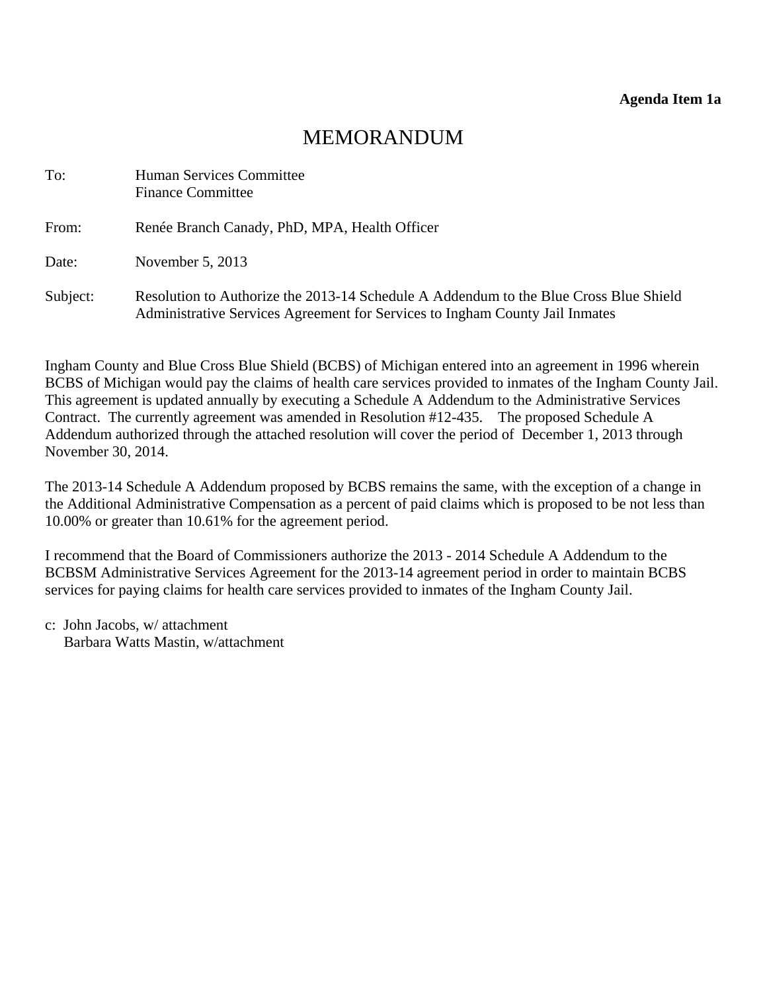# MEMORANDUM

<span id="page-6-0"></span>

| To:      | <b>Human Services Committee</b><br><b>Finance Committee</b>                                                                                                           |
|----------|-----------------------------------------------------------------------------------------------------------------------------------------------------------------------|
| From:    | Renée Branch Canady, PhD, MPA, Health Officer                                                                                                                         |
| Date:    | November $5, 2013$                                                                                                                                                    |
| Subject: | Resolution to Authorize the 2013-14 Schedule A Addendum to the Blue Cross Blue Shield<br>Administrative Services Agreement for Services to Ingham County Jail Inmates |

Ingham County and Blue Cross Blue Shield (BCBS) of Michigan entered into an agreement in 1996 wherein BCBS of Michigan would pay the claims of health care services provided to inmates of the Ingham County Jail. This agreement is updated annually by executing a Schedule A Addendum to the Administrative Services Contract. The currently agreement was amended in Resolution #12-435. The proposed Schedule A Addendum authorized through the attached resolution will cover the period of December 1, 2013 through November 30, 2014.

The 2013-14 Schedule A Addendum proposed by BCBS remains the same, with the exception of a change in the Additional Administrative Compensation as a percent of paid claims which is proposed to be not less than 10.00% or greater than 10.61% for the agreement period.

I recommend that the Board of Commissioners authorize the 2013 - 2014 Schedule A Addendum to the BCBSM Administrative Services Agreement for the 2013-14 agreement period in order to maintain BCBS services for paying claims for health care services provided to inmates of the Ingham County Jail.

c: John Jacobs, w/ attachment Barbara Watts Mastin, w/attachment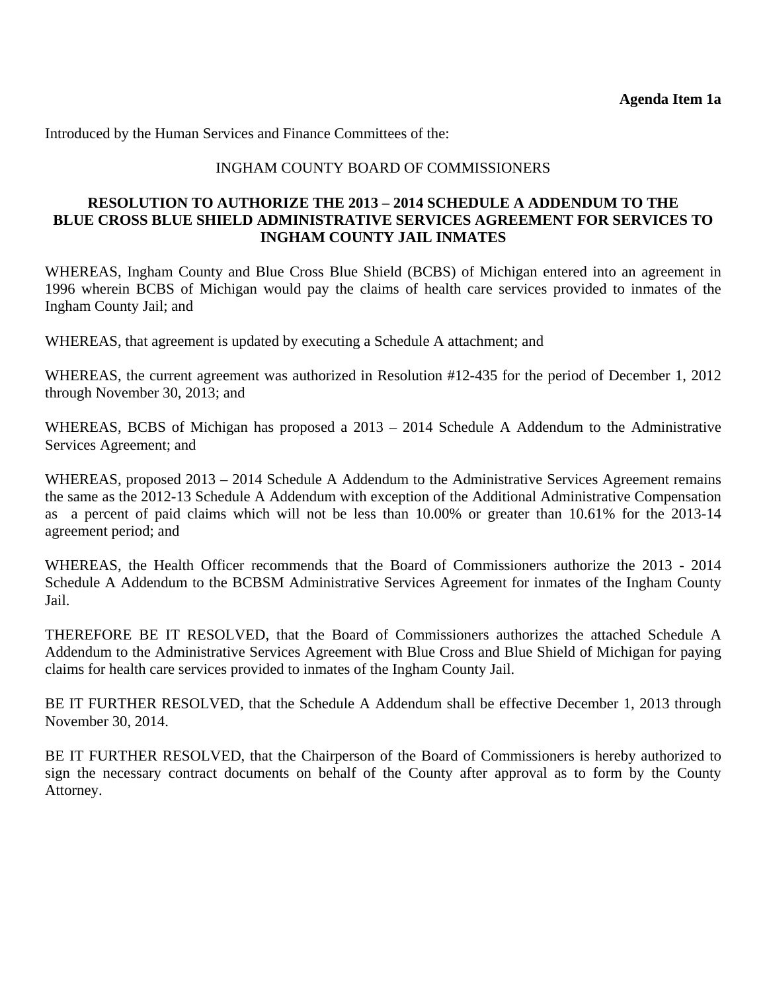Introduced by the Human Services and Finance Committees of the:

#### INGHAM COUNTY BOARD OF COMMISSIONERS

#### **RESOLUTION TO AUTHORIZE THE 2013 – 2014 SCHEDULE A ADDENDUM TO THE BLUE CROSS BLUE SHIELD ADMINISTRATIVE SERVICES AGREEMENT FOR SERVICES TO INGHAM COUNTY JAIL INMATES**

WHEREAS, Ingham County and Blue Cross Blue Shield (BCBS) of Michigan entered into an agreement in 1996 wherein BCBS of Michigan would pay the claims of health care services provided to inmates of the Ingham County Jail; and

WHEREAS, that agreement is updated by executing a Schedule A attachment; and

WHEREAS, the current agreement was authorized in Resolution #12-435 for the period of December 1, 2012 through November 30, 2013; and

WHEREAS, BCBS of Michigan has proposed a 2013 – 2014 Schedule A Addendum to the Administrative Services Agreement; and

WHEREAS, proposed 2013 – 2014 Schedule A Addendum to the Administrative Services Agreement remains the same as the 2012-13 Schedule A Addendum with exception of the Additional Administrative Compensation as a percent of paid claims which will not be less than 10.00% or greater than 10.61% for the 2013-14 agreement period; and

WHEREAS, the Health Officer recommends that the Board of Commissioners authorize the 2013 - 2014 Schedule A Addendum to the BCBSM Administrative Services Agreement for inmates of the Ingham County Jail.

THEREFORE BE IT RESOLVED, that the Board of Commissioners authorizes the attached Schedule A Addendum to the Administrative Services Agreement with Blue Cross and Blue Shield of Michigan for paying claims for health care services provided to inmates of the Ingham County Jail.

BE IT FURTHER RESOLVED, that the Schedule A Addendum shall be effective December 1, 2013 through November 30, 2014.

BE IT FURTHER RESOLVED, that the Chairperson of the Board of Commissioners is hereby authorized to sign the necessary contract documents on behalf of the County after approval as to form by the County Attorney.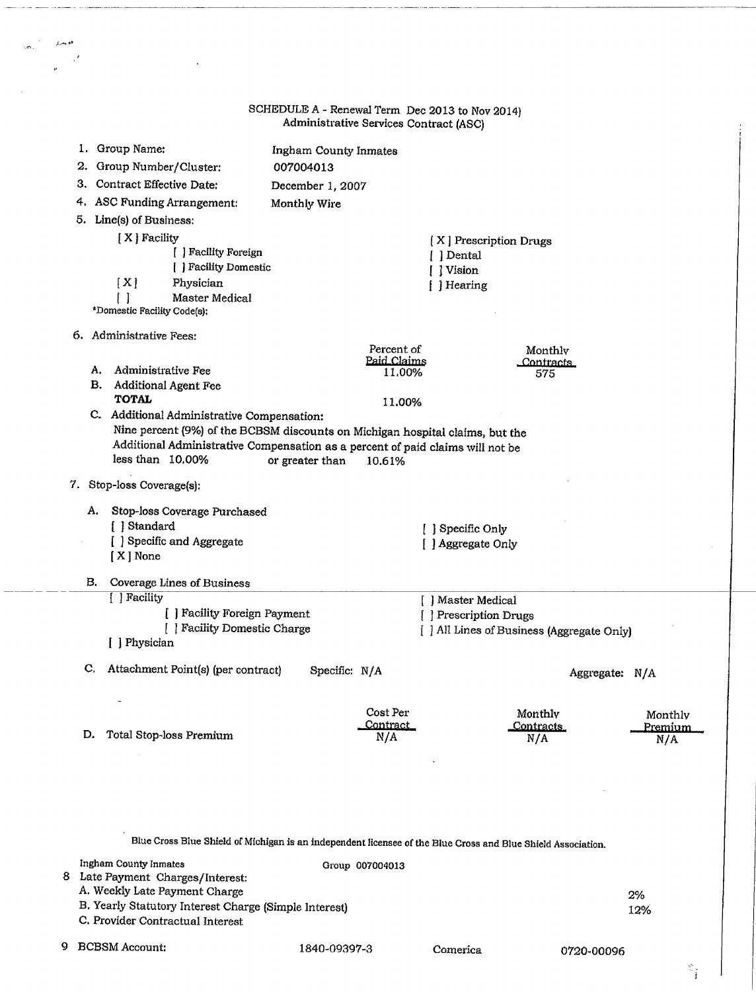|                                          |                                                                                                              |                                                                                | Administrative Services Contract (ASC) |                        | SCHEDULE A - Renewal Term Dec 2013 to Nov 2014) |                                        |           |  |  |  |  |
|------------------------------------------|--------------------------------------------------------------------------------------------------------------|--------------------------------------------------------------------------------|----------------------------------------|------------------------|-------------------------------------------------|----------------------------------------|-----------|--|--|--|--|
|                                          |                                                                                                              | 1. Group Name:                                                                 | Ingham County Inmates                  |                        |                                                 |                                        |           |  |  |  |  |
|                                          |                                                                                                              | 2. Group Number/Cluster:                                                       | 007004013                              |                        |                                                 |                                        |           |  |  |  |  |
|                                          |                                                                                                              | 3. Contract Effective Date:                                                    | December 1, 2007                       |                        |                                                 |                                        |           |  |  |  |  |
|                                          | 4.                                                                                                           | <b>ASC Funding Arrangement:</b>                                                | Monthly Wire                           |                        |                                                 |                                        |           |  |  |  |  |
|                                          | 5.                                                                                                           | Line(s) of Business:                                                           |                                        |                        |                                                 |                                        |           |  |  |  |  |
|                                          |                                                                                                              | [X] Facility                                                                   |                                        |                        | [X] Prescription Drugs                          |                                        |           |  |  |  |  |
|                                          |                                                                                                              | [ ] Facility Foreign                                                           |                                        |                        | [ ] Dental                                      |                                        |           |  |  |  |  |
|                                          |                                                                                                              | [ ] Facility Domestic                                                          |                                        | [ ] Vision             |                                                 |                                        |           |  |  |  |  |
|                                          |                                                                                                              | [X]<br>Physician                                                               |                                        |                        | [ ] Hearing                                     |                                        |           |  |  |  |  |
|                                          |                                                                                                              | Master Medical<br>$\mathbf{I}$<br>*Domestic Facility Code(s):                  |                                        |                        |                                                 |                                        |           |  |  |  |  |
|                                          |                                                                                                              |                                                                                |                                        |                        |                                                 |                                        |           |  |  |  |  |
|                                          |                                                                                                              | 6. Administrative Fees:                                                        |                                        | Percent of             |                                                 |                                        |           |  |  |  |  |
|                                          |                                                                                                              |                                                                                |                                        | Paid Claims            |                                                 | Monthly<br><u>.Contracts </u>          |           |  |  |  |  |
|                                          |                                                                                                              | Administrative Fee<br>А.                                                       |                                        | 11,00%                 |                                                 | 575                                    |           |  |  |  |  |
|                                          |                                                                                                              | В.<br><b>Additional Agent Fee</b><br><b>TOTAL</b>                              |                                        | 11.00%                 |                                                 |                                        |           |  |  |  |  |
|                                          |                                                                                                              | C. Additional Administrative Compensation:                                     |                                        |                        |                                                 |                                        |           |  |  |  |  |
|                                          |                                                                                                              | Nine percent (9%) of the BCBSM discounts on Michigan hospital claims, but the  |                                        |                        |                                                 |                                        |           |  |  |  |  |
|                                          |                                                                                                              | Additional Administrative Compensation as a percent of paid claims will not be |                                        |                        |                                                 |                                        |           |  |  |  |  |
|                                          |                                                                                                              | less than 10.00%                                                               | or greater than                        | 10.61%                 |                                                 |                                        |           |  |  |  |  |
|                                          |                                                                                                              | 7. Stop-loss Coverage(s):                                                      |                                        |                        |                                                 |                                        |           |  |  |  |  |
|                                          |                                                                                                              | Stop-loss Coverage Purchased<br>А.                                             |                                        |                        |                                                 |                                        |           |  |  |  |  |
|                                          |                                                                                                              | [ ] Standard                                                                   |                                        |                        | [ ] Specific Only                               |                                        |           |  |  |  |  |
|                                          |                                                                                                              | [ ] Specific and Aggregate<br>[X] None                                         |                                        |                        | [ ] Aggregate Only                              |                                        |           |  |  |  |  |
|                                          |                                                                                                              |                                                                                |                                        |                        |                                                 |                                        |           |  |  |  |  |
|                                          |                                                                                                              | Coverage Lines of Business<br>В.                                               |                                        |                        |                                                 |                                        |           |  |  |  |  |
|                                          |                                                                                                              | [ ] Facility                                                                   |                                        |                        | [ ] Master Medical                              |                                        |           |  |  |  |  |
|                                          |                                                                                                              | [ ] Facility Foreign Payment<br>[ ] Facility Domestic Charge                   |                                        | [ ] Prescription Drugs |                                                 |                                        |           |  |  |  |  |
|                                          |                                                                                                              | [ ] Physician                                                                  |                                        |                        |                                                 | All Lines of Business (Aggregate Only) |           |  |  |  |  |
|                                          |                                                                                                              |                                                                                |                                        |                        |                                                 |                                        |           |  |  |  |  |
|                                          | C.                                                                                                           | Attachment Point(s) (per contract)                                             | Specific: N/A                          |                        |                                                 | Aggregate: N/A                         |           |  |  |  |  |
|                                          |                                                                                                              |                                                                                |                                        |                        |                                                 |                                        |           |  |  |  |  |
|                                          |                                                                                                              |                                                                                |                                        | Cost Per               |                                                 | Monthly                                | Monthly   |  |  |  |  |
|                                          | D.                                                                                                           | Total Stop-loss Premium                                                        |                                        | Contract<br>N/A        |                                                 | Contracts<br>N/A                       | Premium   |  |  |  |  |
|                                          |                                                                                                              |                                                                                |                                        |                        |                                                 |                                        | N/A       |  |  |  |  |
|                                          |                                                                                                              |                                                                                |                                        |                        |                                                 |                                        |           |  |  |  |  |
|                                          |                                                                                                              |                                                                                |                                        |                        |                                                 |                                        |           |  |  |  |  |
|                                          |                                                                                                              |                                                                                |                                        |                        |                                                 |                                        |           |  |  |  |  |
|                                          |                                                                                                              |                                                                                |                                        |                        |                                                 |                                        |           |  |  |  |  |
|                                          | Blue Cross Blue Shield of Michigan is an independent licensee of the Blue Cross and Blue Shield Association. |                                                                                |                                        |                        |                                                 |                                        |           |  |  |  |  |
| Ingham County Inmates<br>Group 007004013 |                                                                                                              |                                                                                |                                        |                        |                                                 |                                        |           |  |  |  |  |
|                                          |                                                                                                              | 8 Late Payment Charges/Interest:<br>A. Weekly Late Payment Charge              |                                        |                        |                                                 |                                        |           |  |  |  |  |
|                                          |                                                                                                              | B. Yearly Statutory Interest Charge (Simple Interest)                          |                                        |                        |                                                 |                                        | 2%<br>12% |  |  |  |  |
|                                          |                                                                                                              | C. Provider Contractual Interest                                               |                                        |                        |                                                 |                                        |           |  |  |  |  |
|                                          |                                                                                                              | 9 BCBSM Account:                                                               | 1840-09397-3                           |                        | Comerica                                        | 0720-00096                             |           |  |  |  |  |

 $\begin{aligned} \int_{\mathbb{R}^d}\mathcal{L}_{\mathcal{H}}\,d\mathcal{H}^{\mathcal{H}}\\ &\qquad \qquad \int_{\mathbb{R}^d}\mathcal{L}_{\mathcal{H}}\,d\mathcal{H}^{\mathcal{H}}\\ &\qquad \qquad \mathcal{H}^{\mathcal{H}}\end{aligned}$ 

 $\mathcal{L}^{\text{max}}(\mathbf{A},\mathbf{A})$  and

 $\mathbb{C}^2$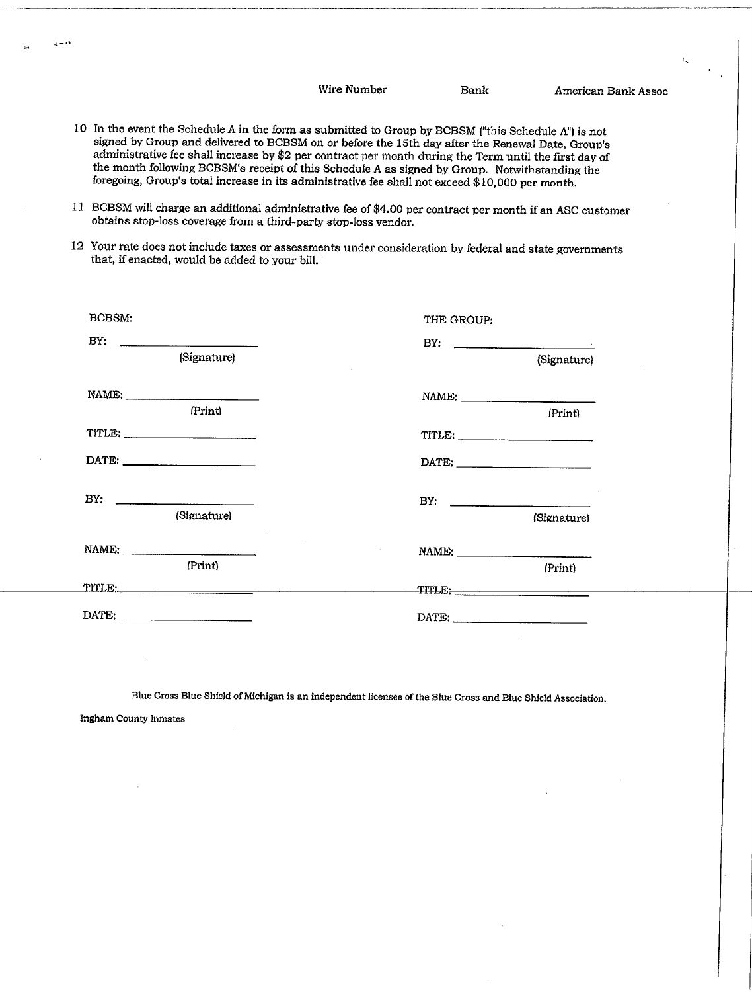Wire Number

 $\frac{1}{2} + \epsilon$ 

i em

Bank

- 10 In the event the Schedule A in the form as submitted to Group by BCBSM ("this Schedule A") is not signed by Group and delivered to BCBSM on or before the 15th day after the Renewal Date, Group's administrative fee shall increase by \$2 per contract per month during the Term until the first day of the month following BCBSM's receipt of this Schedule A as signed by Group. Notwithstanding the foregoing, Group's total increase in its administrative fee shall not exceed \$10,000 per month.
- 11 BCBSM will charge an additional administrative fee of \$4.00 per contract per month if an ASC customer obtains stop-loss coverage from a third-party stop-loss vendor.
- 12 Your rate does not include taxes or assessments under consideration by federal and state governments that, if enacted, would be added to your bill.

| BCBSM:      | THE GROUP:  |
|-------------|-------------|
|             |             |
| (Signature) | (Signature) |
|             |             |
| (Print)     | (Print)     |
|             | TITLE:      |
|             |             |
|             |             |
| (Signature) | (Signature) |
|             |             |
| (Print)     | (Print)     |
|             | TITLE:      |
|             |             |

Blue Cross Blue Shield of Michigan is an independent licensee of the Blue Cross and Blue Shield Association. **Ingham County Inmates**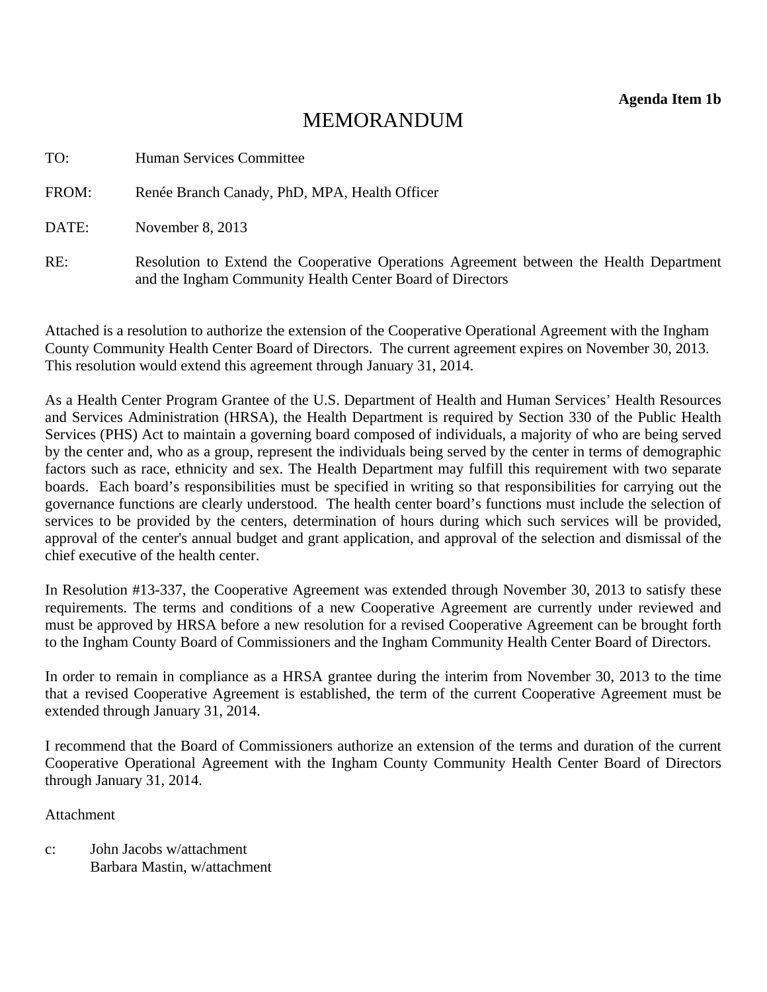**Agenda Item 1b** 

# MEMORANDUM

<span id="page-10-0"></span>TO: Human Services Committee

FROM: Renée Branch Canady, PhD, MPA, Health Officer

DATE: November 8, 2013

RE: Resolution to Extend the Cooperative Operations Agreement between the Health Department and the Ingham Community Health Center Board of Directors

Attached is a resolution to authorize the extension of the Cooperative Operational Agreement with the Ingham County Community Health Center Board of Directors. The current agreement expires on November 30, 2013. This resolution would extend this agreement through January 31, 2014.

As a Health Center Program Grantee of the U.S. Department of Health and Human Services' Health Resources and Services Administration (HRSA), the Health Department is required by Section 330 of the Public Health Services (PHS) Act to maintain a governing board composed of individuals, a majority of who are being served by the center and, who as a group, represent the individuals being served by the center in terms of demographic factors such as race, ethnicity and sex. The Health Department may fulfill this requirement with two separate boards. Each board's responsibilities must be specified in writing so that responsibilities for carrying out the governance functions are clearly understood. The health center board's functions must include the selection of services to be provided by the centers, determination of hours during which such services will be provided, approval of the center's annual budget and grant application, and approval of the selection and dismissal of the chief executive of the health center.

In Resolution #13-337, the Cooperative Agreement was extended through November 30, 2013 to satisfy these requirements. The terms and conditions of a new Cooperative Agreement are currently under reviewed and must be approved by HRSA before a new resolution for a revised Cooperative Agreement can be brought forth to the Ingham County Board of Commissioners and the Ingham Community Health Center Board of Directors.

In order to remain in compliance as a HRSA grantee during the interim from November 30, 2013 to the time that a revised Cooperative Agreement is established, the term of the current Cooperative Agreement must be extended through January 31, 2014.

I recommend that the Board of Commissioners authorize an extension of the terms and duration of the current Cooperative Operational Agreement with the Ingham County Community Health Center Board of Directors through January 31, 2014.

Attachment

c: John Jacobs w/attachment Barbara Mastin, w/attachment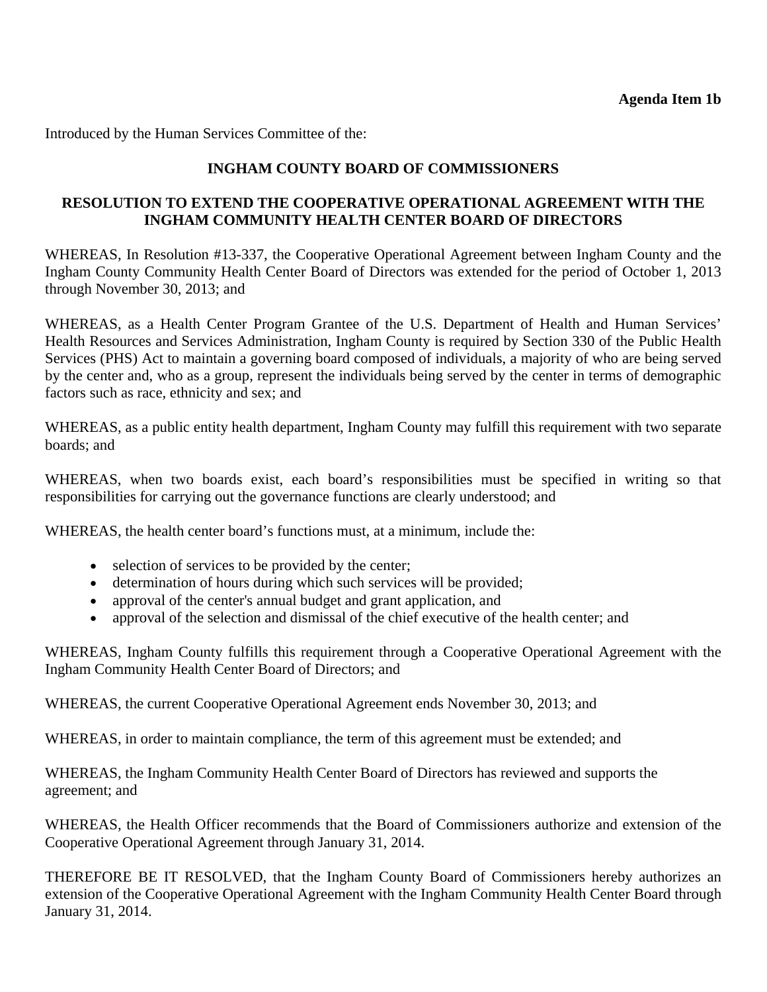Introduced by the Human Services Committee of the:

## **INGHAM COUNTY BOARD OF COMMISSIONERS**

### **RESOLUTION TO EXTEND THE COOPERATIVE OPERATIONAL AGREEMENT WITH THE INGHAM COMMUNITY HEALTH CENTER BOARD OF DIRECTORS**

WHEREAS, In Resolution #13-337, the Cooperative Operational Agreement between Ingham County and the Ingham County Community Health Center Board of Directors was extended for the period of October 1, 2013 through November 30, 2013; and

WHEREAS, as a Health Center Program Grantee of the U.S. Department of Health and Human Services' Health Resources and Services Administration, Ingham County is required by Section 330 of the Public Health Services (PHS) Act to maintain a governing board composed of individuals, a majority of who are being served by the center and, who as a group, represent the individuals being served by the center in terms of demographic factors such as race, ethnicity and sex; and

WHEREAS, as a public entity health department, Ingham County may fulfill this requirement with two separate boards; and

WHEREAS, when two boards exist, each board's responsibilities must be specified in writing so that responsibilities for carrying out the governance functions are clearly understood; and

WHEREAS, the health center board's functions must, at a minimum, include the:

- selection of services to be provided by the center;
- determination of hours during which such services will be provided;
- approval of the center's annual budget and grant application, and
- approval of the selection and dismissal of the chief executive of the health center; and

WHEREAS, Ingham County fulfills this requirement through a Cooperative Operational Agreement with the Ingham Community Health Center Board of Directors; and

WHEREAS, the current Cooperative Operational Agreement ends November 30, 2013; and

WHEREAS, in order to maintain compliance, the term of this agreement must be extended; and

WHEREAS, the Ingham Community Health Center Board of Directors has reviewed and supports the agreement; and

WHEREAS, the Health Officer recommends that the Board of Commissioners authorize and extension of the Cooperative Operational Agreement through January 31, 2014.

THEREFORE BE IT RESOLVED, that the Ingham County Board of Commissioners hereby authorizes an extension of the Cooperative Operational Agreement with the Ingham Community Health Center Board through January 31, 2014.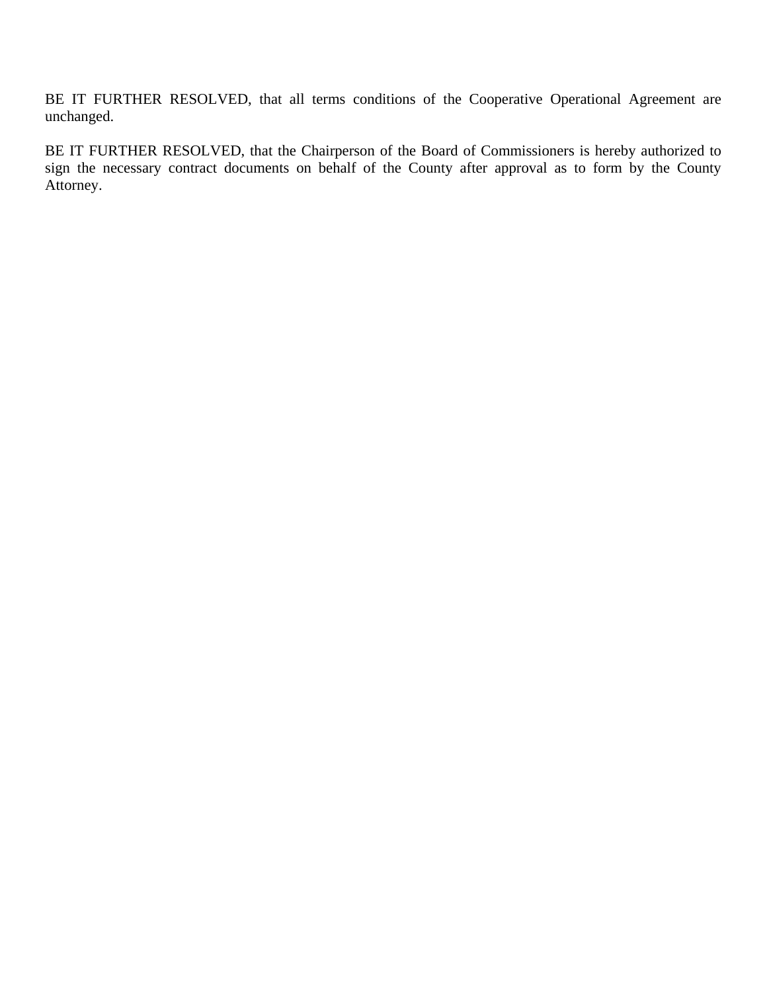BE IT FURTHER RESOLVED, that all terms conditions of the Cooperative Operational Agreement are unchanged.

BE IT FURTHER RESOLVED, that the Chairperson of the Board of Commissioners is hereby authorized to sign the necessary contract documents on behalf of the County after approval as to form by the County Attorney.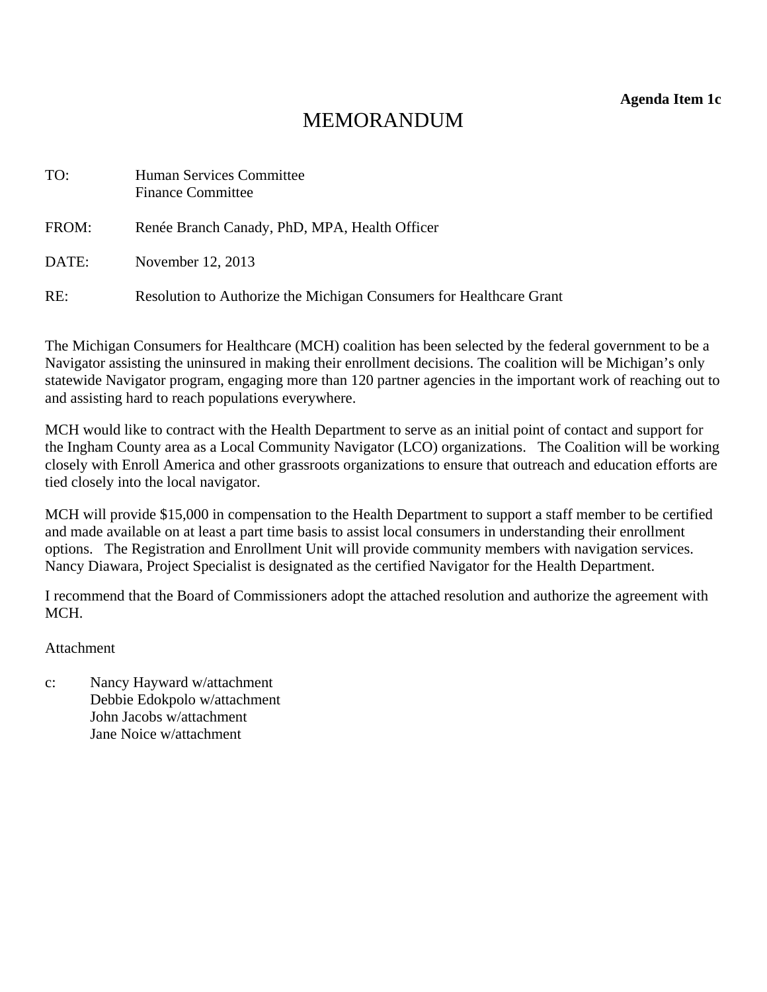**Agenda Item 1c** 

# MEMORANDUM

<span id="page-13-0"></span>

| TO:   | <b>Human Services Committee</b><br><b>Finance Committee</b>         |
|-------|---------------------------------------------------------------------|
| FROM: | Renée Branch Canady, PhD, MPA, Health Officer                       |
| DATE: | November 12, 2013                                                   |
| RE:   | Resolution to Authorize the Michigan Consumers for Healthcare Grant |

The Michigan Consumers for Healthcare (MCH) coalition has been selected by the federal government to be a Navigator assisting the uninsured in making their enrollment decisions. The coalition will be Michigan's only statewide Navigator program, engaging more than 120 partner agencies in the important work of reaching out to and assisting hard to reach populations everywhere.

MCH would like to contract with the Health Department to serve as an initial point of contact and support for the Ingham County area as a Local Community Navigator (LCO) organizations. The Coalition will be working closely with Enroll America and other grassroots organizations to ensure that outreach and education efforts are tied closely into the local navigator.

MCH will provide \$15,000 in compensation to the Health Department to support a staff member to be certified and made available on at least a part time basis to assist local consumers in understanding their enrollment options. The Registration and Enrollment Unit will provide community members with navigation services. Nancy Diawara, Project Specialist is designated as the certified Navigator for the Health Department.

I recommend that the Board of Commissioners adopt the attached resolution and authorize the agreement with MCH.

#### Attachment

c: Nancy Hayward w/attachment Debbie Edokpolo w/attachment John Jacobs w/attachment Jane Noice w/attachment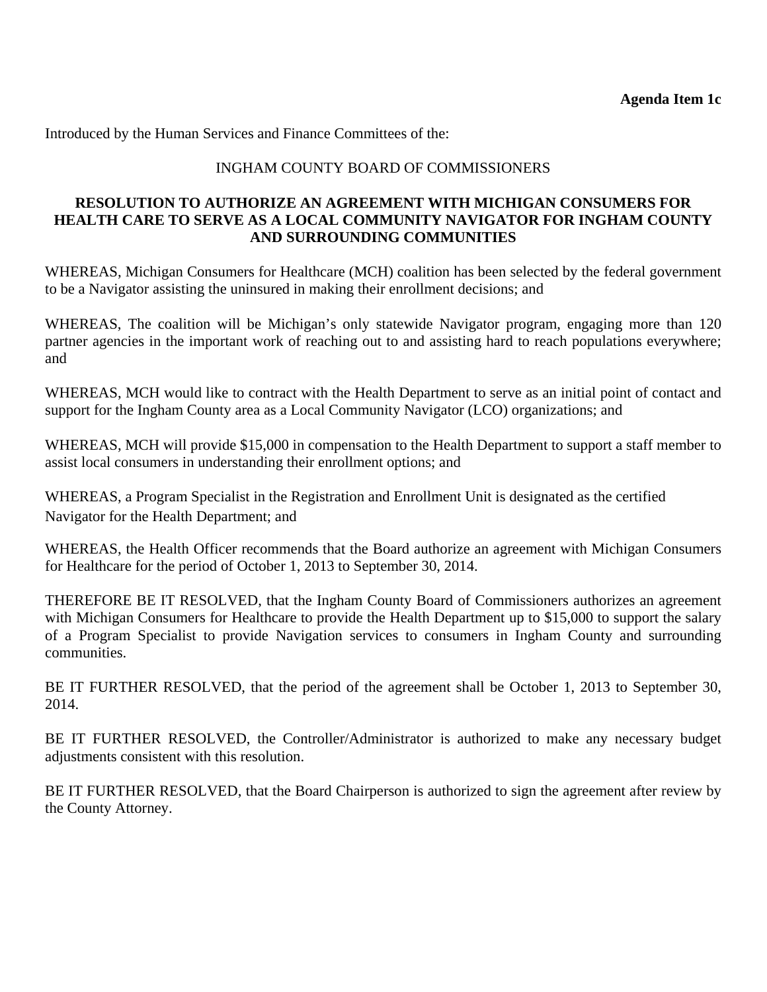Introduced by the Human Services and Finance Committees of the:

### INGHAM COUNTY BOARD OF COMMISSIONERS

#### **RESOLUTION TO AUTHORIZE AN AGREEMENT WITH MICHIGAN CONSUMERS FOR HEALTH CARE TO SERVE AS A LOCAL COMMUNITY NAVIGATOR FOR INGHAM COUNTY AND SURROUNDING COMMUNITIES**

WHEREAS, Michigan Consumers for Healthcare (MCH) coalition has been selected by the federal government to be a Navigator assisting the uninsured in making their enrollment decisions; and

WHEREAS, The coalition will be Michigan's only statewide Navigator program, engaging more than 120 partner agencies in the important work of reaching out to and assisting hard to reach populations everywhere; and

WHEREAS, MCH would like to contract with the Health Department to serve as an initial point of contact and support for the Ingham County area as a Local Community Navigator (LCO) organizations; and

WHEREAS, MCH will provide \$15,000 in compensation to the Health Department to support a staff member to assist local consumers in understanding their enrollment options; and

WHEREAS, a Program Specialist in the Registration and Enrollment Unit is designated as the certified Navigator for the Health Department; and

WHEREAS, the Health Officer recommends that the Board authorize an agreement with Michigan Consumers for Healthcare for the period of October 1, 2013 to September 30, 2014.

THEREFORE BE IT RESOLVED, that the Ingham County Board of Commissioners authorizes an agreement with Michigan Consumers for Healthcare to provide the Health Department up to \$15,000 to support the salary of a Program Specialist to provide Navigation services to consumers in Ingham County and surrounding communities.

BE IT FURTHER RESOLVED, that the period of the agreement shall be October 1, 2013 to September 30, 2014.

BE IT FURTHER RESOLVED, the Controller/Administrator is authorized to make any necessary budget adjustments consistent with this resolution.

BE IT FURTHER RESOLVED, that the Board Chairperson is authorized to sign the agreement after review by the County Attorney.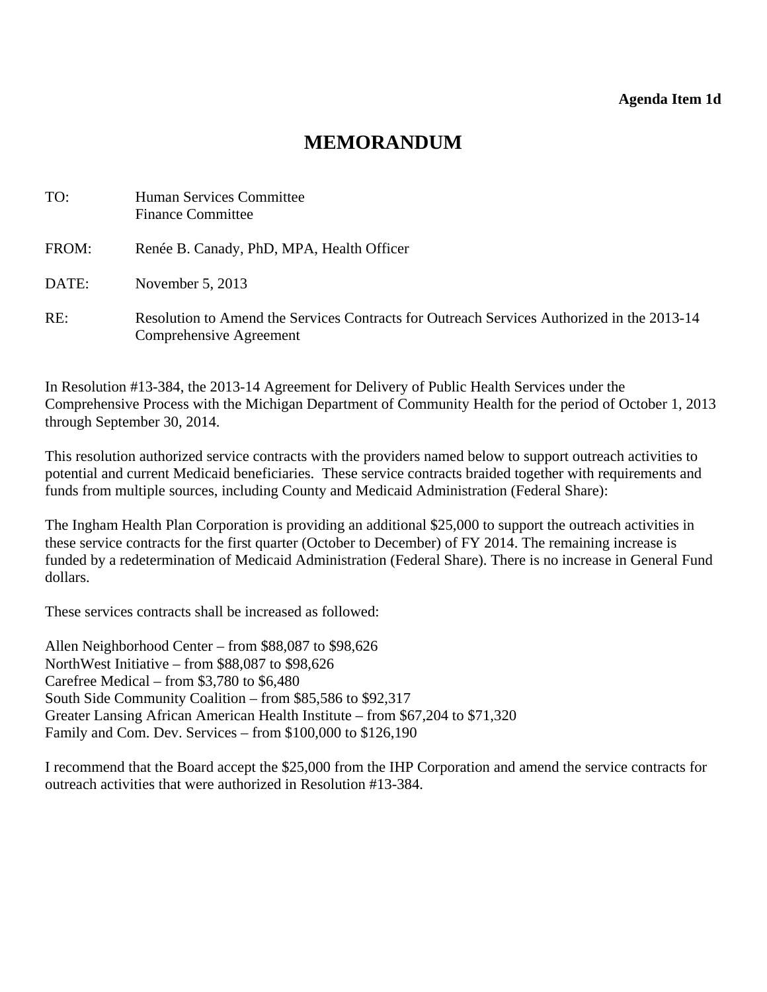# **MEMORANDUM**

<span id="page-15-0"></span>

| TO:   | <b>Human Services Committee</b><br><b>Finance Committee</b>                                                           |
|-------|-----------------------------------------------------------------------------------------------------------------------|
| FROM: | Renée B. Canady, PhD, MPA, Health Officer                                                                             |
| DATE: | November $5, 2013$                                                                                                    |
| RE:   | Resolution to Amend the Services Contracts for Outreach Services Authorized in the 2013-14<br>Comprehensive Agreement |

In Resolution #13-384, the 2013-14 Agreement for Delivery of Public Health Services under the Comprehensive Process with the Michigan Department of Community Health for the period of October 1, 2013 through September 30, 2014.

This resolution authorized service contracts with the providers named below to support outreach activities to potential and current Medicaid beneficiaries. These service contracts braided together with requirements and funds from multiple sources, including County and Medicaid Administration (Federal Share):

The Ingham Health Plan Corporation is providing an additional \$25,000 to support the outreach activities in these service contracts for the first quarter (October to December) of FY 2014. The remaining increase is funded by a redetermination of Medicaid Administration (Federal Share). There is no increase in General Fund dollars.

These services contracts shall be increased as followed:

Allen Neighborhood Center – from \$88,087 to \$98,626 NorthWest Initiative – from \$88,087 to \$98,626 Carefree Medical – from \$3,780 to \$6,480 South Side Community Coalition – from \$85,586 to \$92,317 Greater Lansing African American Health Institute – from \$67,204 to \$71,320 Family and Com. Dev. Services – from \$100,000 to \$126,190

I recommend that the Board accept the \$25,000 from the IHP Corporation and amend the service contracts for outreach activities that were authorized in Resolution #13-384.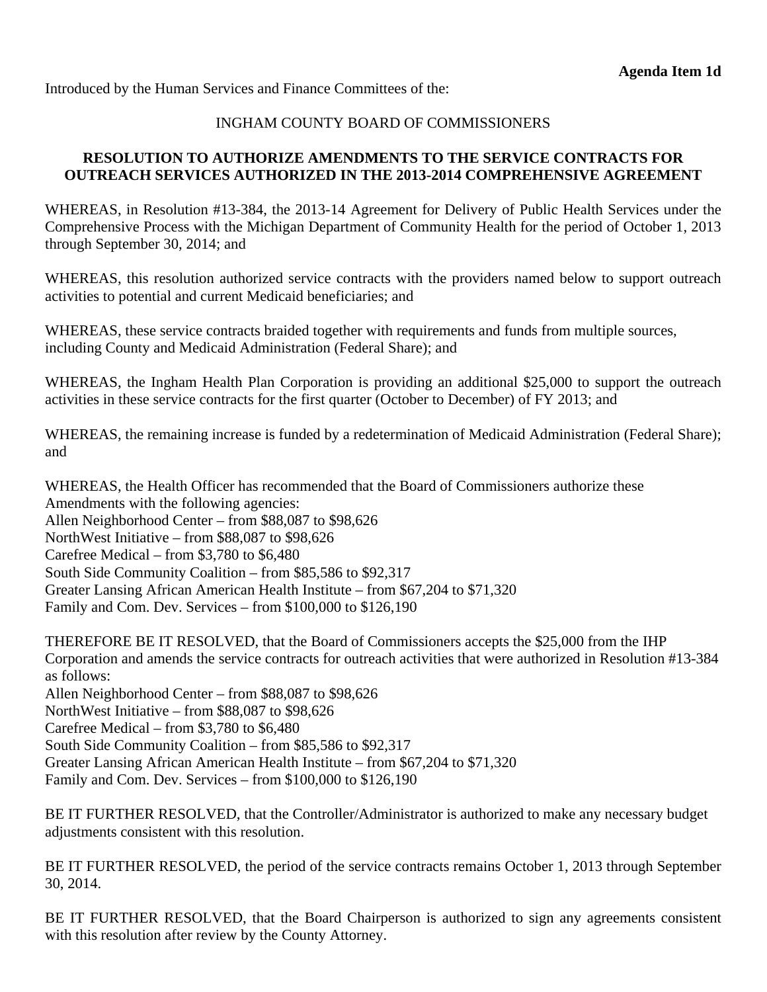Introduced by the Human Services and Finance Committees of the:

#### INGHAM COUNTY BOARD OF COMMISSIONERS

#### **RESOLUTION TO AUTHORIZE AMENDMENTS TO THE SERVICE CONTRACTS FOR OUTREACH SERVICES AUTHORIZED IN THE 2013-2014 COMPREHENSIVE AGREEMENT**

WHEREAS, in Resolution #13-384, the 2013-14 Agreement for Delivery of Public Health Services under the Comprehensive Process with the Michigan Department of Community Health for the period of October 1, 2013 through September 30, 2014; and

WHEREAS, this resolution authorized service contracts with the providers named below to support outreach activities to potential and current Medicaid beneficiaries; and

WHEREAS, these service contracts braided together with requirements and funds from multiple sources, including County and Medicaid Administration (Federal Share); and

WHEREAS, the Ingham Health Plan Corporation is providing an additional \$25,000 to support the outreach activities in these service contracts for the first quarter (October to December) of FY 2013; and

WHEREAS, the remaining increase is funded by a redetermination of Medicaid Administration (Federal Share); and

WHEREAS, the Health Officer has recommended that the Board of Commissioners authorize these Amendments with the following agencies: Allen Neighborhood Center – from \$88,087 to \$98,626 NorthWest Initiative – from \$88,087 to \$98,626 Carefree Medical – from \$3,780 to \$6,480 South Side Community Coalition – from \$85,586 to \$92,317 Greater Lansing African American Health Institute – from \$67,204 to \$71,320 Family and Com. Dev. Services – from \$100,000 to \$126,190

THEREFORE BE IT RESOLVED, that the Board of Commissioners accepts the \$25,000 from the IHP Corporation and amends the service contracts for outreach activities that were authorized in Resolution #13-384 as follows: Allen Neighborhood Center – from \$88,087 to \$98,626 NorthWest Initiative – from \$88,087 to \$98,626 Carefree Medical – from \$3,780 to \$6,480 South Side Community Coalition – from \$85,586 to \$92,317

Greater Lansing African American Health Institute – from \$67,204 to \$71,320 Family and Com. Dev. Services – from \$100,000 to \$126,190

BE IT FURTHER RESOLVED, that the Controller/Administrator is authorized to make any necessary budget adjustments consistent with this resolution.

BE IT FURTHER RESOLVED, the period of the service contracts remains October 1, 2013 through September 30, 2014.

BE IT FURTHER RESOLVED, that the Board Chairperson is authorized to sign any agreements consistent with this resolution after review by the County Attorney.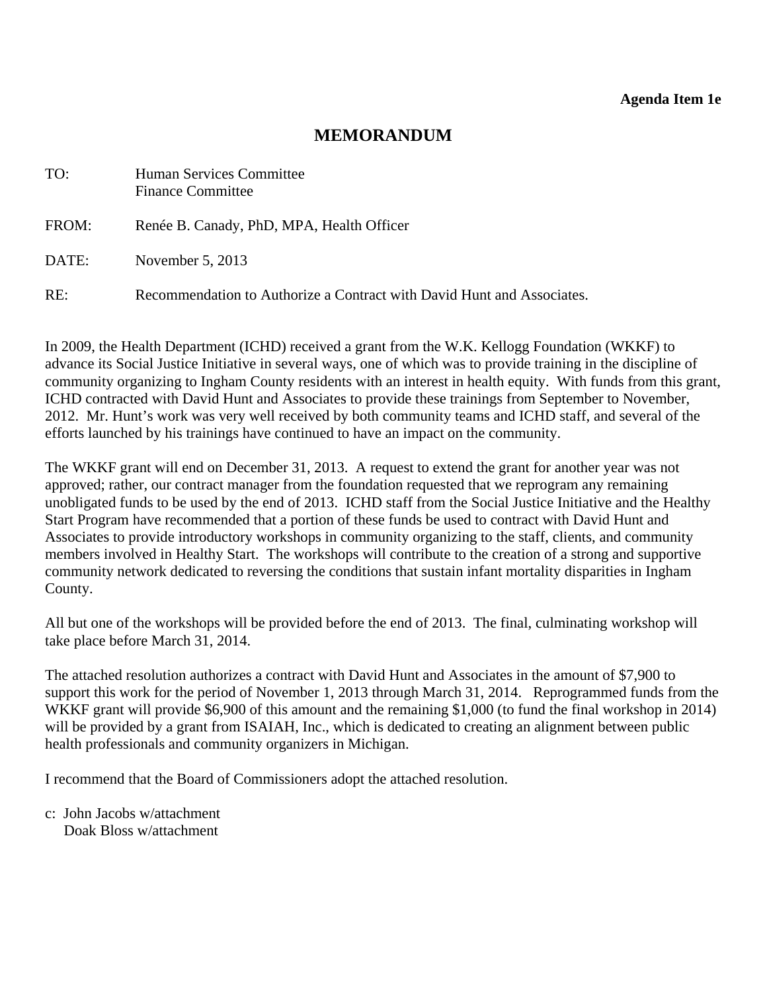# **MEMORANDUM**

<span id="page-17-0"></span>

| TO:   | Human Services Committee<br><b>Finance Committee</b>                   |
|-------|------------------------------------------------------------------------|
| FROM: | Renée B. Canady, PhD, MPA, Health Officer                              |
| DATE: | November $5, 2013$                                                     |
| RE:   | Recommendation to Authorize a Contract with David Hunt and Associates. |

In 2009, the Health Department (ICHD) received a grant from the W.K. Kellogg Foundation (WKKF) to advance its Social Justice Initiative in several ways, one of which was to provide training in the discipline of community organizing to Ingham County residents with an interest in health equity. With funds from this grant, ICHD contracted with David Hunt and Associates to provide these trainings from September to November, 2012. Mr. Hunt's work was very well received by both community teams and ICHD staff, and several of the efforts launched by his trainings have continued to have an impact on the community.

The WKKF grant will end on December 31, 2013. A request to extend the grant for another year was not approved; rather, our contract manager from the foundation requested that we reprogram any remaining unobligated funds to be used by the end of 2013. ICHD staff from the Social Justice Initiative and the Healthy Start Program have recommended that a portion of these funds be used to contract with David Hunt and Associates to provide introductory workshops in community organizing to the staff, clients, and community members involved in Healthy Start. The workshops will contribute to the creation of a strong and supportive community network dedicated to reversing the conditions that sustain infant mortality disparities in Ingham County.

All but one of the workshops will be provided before the end of 2013. The final, culminating workshop will take place before March 31, 2014.

The attached resolution authorizes a contract with David Hunt and Associates in the amount of \$7,900 to support this work for the period of November 1, 2013 through March 31, 2014. Reprogrammed funds from the WKKF grant will provide \$6,900 of this amount and the remaining \$1,000 (to fund the final workshop in 2014) will be provided by a grant from ISAIAH, Inc., which is dedicated to creating an alignment between public health professionals and community organizers in Michigan.

I recommend that the Board of Commissioners adopt the attached resolution.

c: John Jacobs w/attachment Doak Bloss w/attachment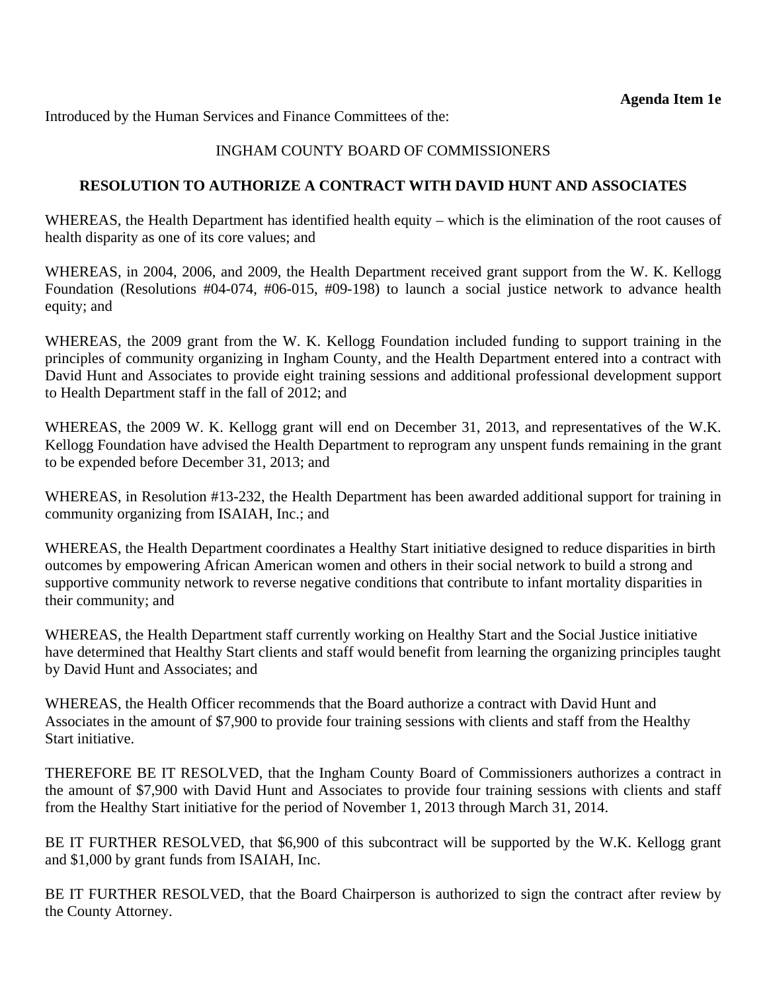Introduced by the Human Services and Finance Committees of the:

#### INGHAM COUNTY BOARD OF COMMISSIONERS

#### **RESOLUTION TO AUTHORIZE A CONTRACT WITH DAVID HUNT AND ASSOCIATES**

WHEREAS, the Health Department has identified health equity – which is the elimination of the root causes of health disparity as one of its core values; and

WHEREAS, in 2004, 2006, and 2009, the Health Department received grant support from the W. K. Kellogg Foundation (Resolutions #04-074, #06-015, #09-198) to launch a social justice network to advance health equity; and

WHEREAS, the 2009 grant from the W. K. Kellogg Foundation included funding to support training in the principles of community organizing in Ingham County, and the Health Department entered into a contract with David Hunt and Associates to provide eight training sessions and additional professional development support to Health Department staff in the fall of 2012; and

WHEREAS, the 2009 W. K. Kellogg grant will end on December 31, 2013, and representatives of the W.K. Kellogg Foundation have advised the Health Department to reprogram any unspent funds remaining in the grant to be expended before December 31, 2013; and

WHEREAS, in Resolution #13-232, the Health Department has been awarded additional support for training in community organizing from ISAIAH, Inc.; and

WHEREAS, the Health Department coordinates a Healthy Start initiative designed to reduce disparities in birth outcomes by empowering African American women and others in their social network to build a strong and supportive community network to reverse negative conditions that contribute to infant mortality disparities in their community; and

WHEREAS, the Health Department staff currently working on Healthy Start and the Social Justice initiative have determined that Healthy Start clients and staff would benefit from learning the organizing principles taught by David Hunt and Associates; and

WHEREAS, the Health Officer recommends that the Board authorize a contract with David Hunt and Associates in the amount of \$7,900 to provide four training sessions with clients and staff from the Healthy Start initiative.

THEREFORE BE IT RESOLVED, that the Ingham County Board of Commissioners authorizes a contract in the amount of \$7,900 with David Hunt and Associates to provide four training sessions with clients and staff from the Healthy Start initiative for the period of November 1, 2013 through March 31, 2014.

BE IT FURTHER RESOLVED, that \$6,900 of this subcontract will be supported by the W.K. Kellogg grant and \$1,000 by grant funds from ISAIAH, Inc.

BE IT FURTHER RESOLVED, that the Board Chairperson is authorized to sign the contract after review by the County Attorney.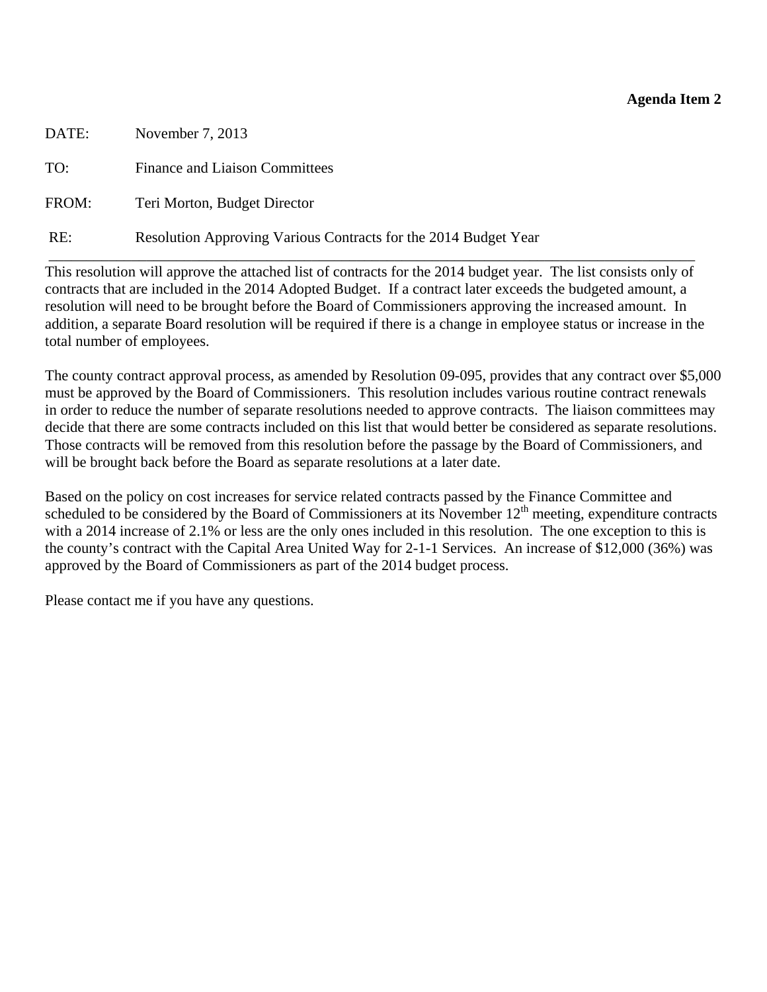#### **Agenda Item 2**

<span id="page-19-0"></span>DATE: November 7, 2013 TO: Finance and Liaison Committees FROM: Teri Morton, Budget Director RE: Resolution Approving Various Contracts for the 2014 Budget Year

This resolution will approve the attached list of contracts for the 2014 budget year. The list consists only of contracts that are included in the 2014 Adopted Budget. If a contract later exceeds the budgeted amount, a resolution will need to be brought before the Board of Commissioners approving the increased amount. In addition, a separate Board resolution will be required if there is a change in employee status or increase in the total number of employees.

\_\_\_\_\_\_\_\_\_\_\_\_\_\_\_\_\_\_\_\_\_\_\_\_\_\_\_\_\_\_\_\_\_\_\_\_\_\_\_\_\_\_\_\_\_\_\_\_\_\_\_\_\_\_\_\_\_\_\_\_\_\_\_\_\_\_\_\_\_\_\_\_\_\_\_\_\_\_\_\_\_\_\_\_\_\_

The county contract approval process, as amended by Resolution 09-095, provides that any contract over \$5,000 must be approved by the Board of Commissioners. This resolution includes various routine contract renewals in order to reduce the number of separate resolutions needed to approve contracts. The liaison committees may decide that there are some contracts included on this list that would better be considered as separate resolutions. Those contracts will be removed from this resolution before the passage by the Board of Commissioners, and will be brought back before the Board as separate resolutions at a later date.

Based on the policy on cost increases for service related contracts passed by the Finance Committee and scheduled to be considered by the Board of Commissioners at its November  $12<sup>th</sup>$  meeting, expenditure contracts with a 2014 increase of 2.1% or less are the only ones included in this resolution. The one exception to this is the county's contract with the Capital Area United Way for 2-1-1 Services. An increase of \$12,000 (36%) was approved by the Board of Commissioners as part of the 2014 budget process.

Please contact me if you have any questions.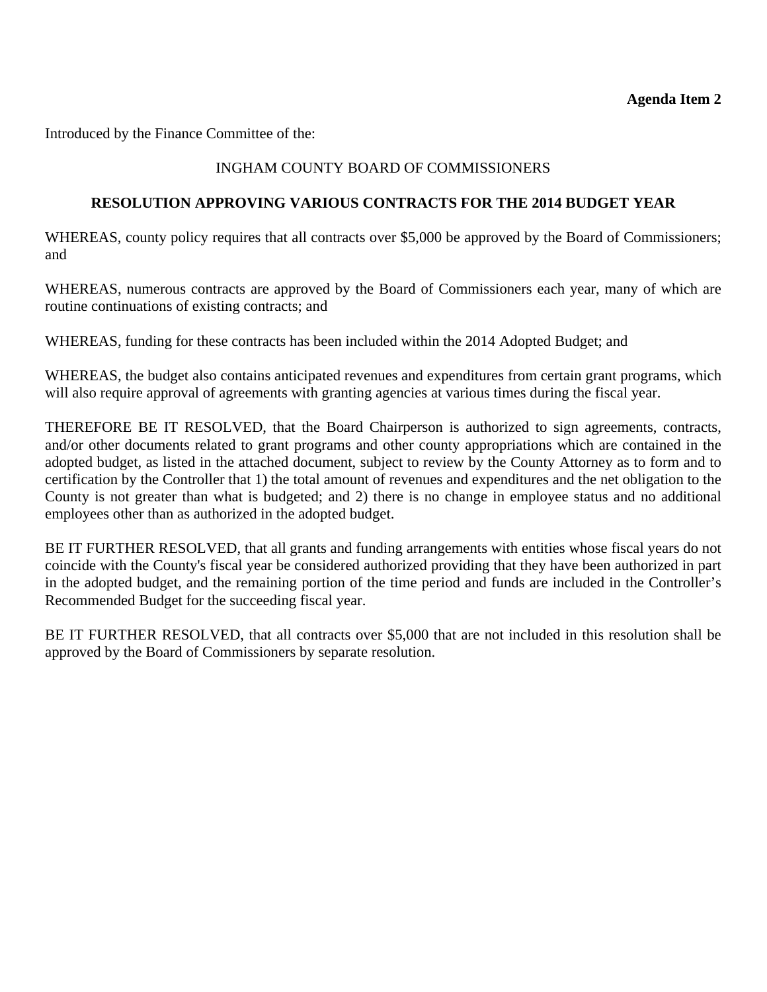Introduced by the Finance Committee of the:

## INGHAM COUNTY BOARD OF COMMISSIONERS

#### **RESOLUTION APPROVING VARIOUS CONTRACTS FOR THE 2014 BUDGET YEAR**

WHEREAS, county policy requires that all contracts over \$5,000 be approved by the Board of Commissioners; and

WHEREAS, numerous contracts are approved by the Board of Commissioners each year, many of which are routine continuations of existing contracts; and

WHEREAS, funding for these contracts has been included within the 2014 Adopted Budget; and

WHEREAS, the budget also contains anticipated revenues and expenditures from certain grant programs, which will also require approval of agreements with granting agencies at various times during the fiscal year.

THEREFORE BE IT RESOLVED, that the Board Chairperson is authorized to sign agreements, contracts, and/or other documents related to grant programs and other county appropriations which are contained in the adopted budget, as listed in the attached document, subject to review by the County Attorney as to form and to certification by the Controller that 1) the total amount of revenues and expenditures and the net obligation to the County is not greater than what is budgeted; and 2) there is no change in employee status and no additional employees other than as authorized in the adopted budget.

BE IT FURTHER RESOLVED, that all grants and funding arrangements with entities whose fiscal years do not coincide with the County's fiscal year be considered authorized providing that they have been authorized in part in the adopted budget, and the remaining portion of the time period and funds are included in the Controller's Recommended Budget for the succeeding fiscal year.

BE IT FURTHER RESOLVED, that all contracts over \$5,000 that are not included in this resolution shall be approved by the Board of Commissioners by separate resolution.